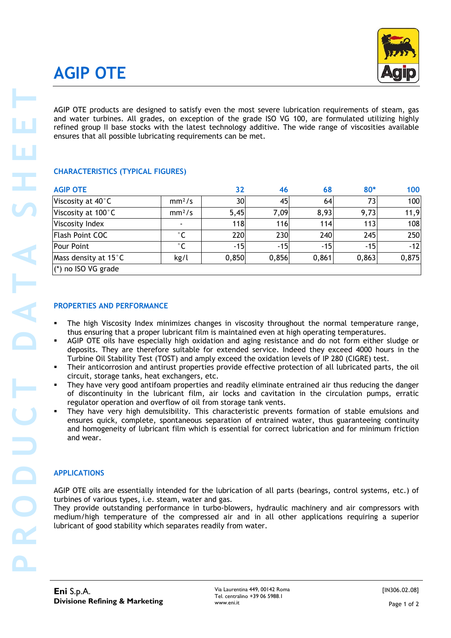# **AGIP OTE**



#### **CHARACTERISTICS (TYPICAL FIGURES)**

| ensures that all possible lubricating requirements can be met.                                                                                                                                                                                                                                                                                                                                                                                                                                                                                                                                                                                                                                                                                                                                                                                                                                                                                                                                                                                                                                | AGIP OTE products are designed to satisfy even the most severe lubrication requirements of steam, gas<br>and water turbines. All grades, on exception of the grade ISO VG 100, are formulated utilizing highly<br>refined group II base stocks with the latest technology additive. The wide range of viscosities available |       |       |                                                                                                  |       |  |
|-----------------------------------------------------------------------------------------------------------------------------------------------------------------------------------------------------------------------------------------------------------------------------------------------------------------------------------------------------------------------------------------------------------------------------------------------------------------------------------------------------------------------------------------------------------------------------------------------------------------------------------------------------------------------------------------------------------------------------------------------------------------------------------------------------------------------------------------------------------------------------------------------------------------------------------------------------------------------------------------------------------------------------------------------------------------------------------------------|-----------------------------------------------------------------------------------------------------------------------------------------------------------------------------------------------------------------------------------------------------------------------------------------------------------------------------|-------|-------|--------------------------------------------------------------------------------------------------|-------|--|
| <b>CHARACTERISTICS (TYPICAL FIGURES)</b>                                                                                                                                                                                                                                                                                                                                                                                                                                                                                                                                                                                                                                                                                                                                                                                                                                                                                                                                                                                                                                                      |                                                                                                                                                                                                                                                                                                                             |       |       |                                                                                                  |       |  |
| <b>AGIP OTE</b>                                                                                                                                                                                                                                                                                                                                                                                                                                                                                                                                                                                                                                                                                                                                                                                                                                                                                                                                                                                                                                                                               |                                                                                                                                                                                                                                                                                                                             | 32    | 46    | 68                                                                                               | $80*$ |  |
| Viscosity at 40°C                                                                                                                                                                                                                                                                                                                                                                                                                                                                                                                                                                                                                                                                                                                                                                                                                                                                                                                                                                                                                                                                             | mm <sup>2</sup> /s                                                                                                                                                                                                                                                                                                          | 30    | 45    | 64                                                                                               | 73    |  |
| Viscosity at 100°C                                                                                                                                                                                                                                                                                                                                                                                                                                                                                                                                                                                                                                                                                                                                                                                                                                                                                                                                                                                                                                                                            | mm <sup>2</sup> /s                                                                                                                                                                                                                                                                                                          | 5,45  | 7,09  | 8,93                                                                                             | 9,73  |  |
| Viscosity Index                                                                                                                                                                                                                                                                                                                                                                                                                                                                                                                                                                                                                                                                                                                                                                                                                                                                                                                                                                                                                                                                               |                                                                                                                                                                                                                                                                                                                             | 118   | 116   | 114                                                                                              | 113   |  |
| <b>Flash Point COC</b>                                                                                                                                                                                                                                                                                                                                                                                                                                                                                                                                                                                                                                                                                                                                                                                                                                                                                                                                                                                                                                                                        | $^{\circ}$ C                                                                                                                                                                                                                                                                                                                | 220   | 230   | 240                                                                                              | 245   |  |
| <b>Pour Point</b>                                                                                                                                                                                                                                                                                                                                                                                                                                                                                                                                                                                                                                                                                                                                                                                                                                                                                                                                                                                                                                                                             | $^{\circ}$ C                                                                                                                                                                                                                                                                                                                | $-15$ | $-15$ | $-15$                                                                                            | $-15$ |  |
| Mass density at 15°C<br>(*) no ISO VG grade                                                                                                                                                                                                                                                                                                                                                                                                                                                                                                                                                                                                                                                                                                                                                                                                                                                                                                                                                                                                                                                   | kg/l                                                                                                                                                                                                                                                                                                                        | 0,850 | 0,856 | 0,861                                                                                            | 0,863 |  |
| thus ensuring that a proper lubricant film is maintained even at high operating temperatures.                                                                                                                                                                                                                                                                                                                                                                                                                                                                                                                                                                                                                                                                                                                                                                                                                                                                                                                                                                                                 |                                                                                                                                                                                                                                                                                                                             |       |       | The high Viscosity Index minimizes changes in viscosity throughout the normal temperature range, |       |  |
| AGIP OTE oils have especially high oxidation and aging resistance and do not form either sludge or<br>deposits. They are therefore suitable for extended service. Indeed they exceed 4000 hours in the<br>Turbine Oil Stability Test (TOST) and amply exceed the oxidation levels of IP 280 (CIGRE) test.<br>Their anticorrosion and antirust properties provide effective protection of all lubricated parts, the oil<br>п<br>circuit, storage tanks, heat exchangers, etc.<br>They have very good antifoam properties and readily eliminate entrained air thus reducing the danger<br>of discontinuity in the lubricant film, air locks and cavitation in the circulation pumps, erratic<br>regulator operation and overflow of oil from storage tank vents.<br>They have very high demulsibility. This characteristic prevents formation of stable emulsions and<br>ensures quick, complete, spontaneous separation of entrained water, thus guaranteeing continuity<br>and homogeneity of lubricant film which is essential for correct lubrication and for minimum friction<br>and wear. |                                                                                                                                                                                                                                                                                                                             |       |       |                                                                                                  |       |  |

#### **PROPERTIES AND PERFORMANCE**

- The high Viscosity Index minimizes changes in viscosity throughout the normal temperature range, thus ensuring that a proper lubricant film is maintained even at high operating temperatures.
- AGIP OTE oils have especially high oxidation and aging resistance and do not form either sludge or deposits. They are therefore suitable for extended service. Indeed they exceed 4000 hours in the Turbine Oil Stability Test (TOST) and amply exceed the oxidation levels of IP 280 (CIGRE) test.
- Their anticorrosion and antirust properties provide effective protection of all lubricated parts, the oil circuit, storage tanks, heat exchangers, etc.
- They have very good antifoam properties and readily eliminate entrained air thus reducing the danger of discontinuity in the lubricant film, air locks and cavitation in the circulation pumps, erratic regulator operation and overflow of oil from storage tank vents.
- They have very high demulsibility. This characteristic prevents formation of stable emulsions and ensures quick, complete, spontaneous separation of entrained water, thus guaranteeing continuity and homogeneity of lubricant film which is essential for correct lubrication and for minimum friction and wear.

#### **APPLICATIONS**